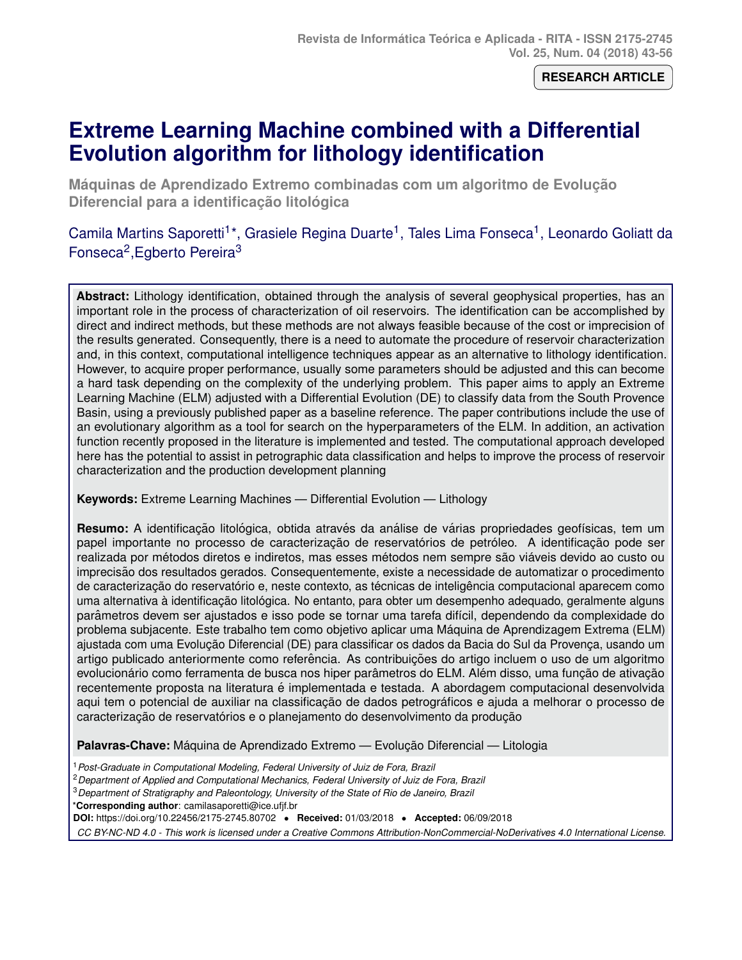**RESEARCH ARTICLE**

# **Extreme Learning Machine combined with a Differential Evolution algorithm for lithology identification**

**Máquinas de Aprendizado Extremo combinadas com um algoritmo de Evolução Diferencial para a identificação litológica** 

Camila Martins Saporetti<sup>1\*</sup>, Grasiele Regina Duarte<sup>1</sup>, Tales Lima Fonseca<sup>1</sup>, Leonardo Goliatt da Fonseca<sup>2</sup>, Egberto Pereira<sup>3</sup>

**Abstract:** Lithology identification, obtained through the analysis of several geophysical properties, has an important role in the process of characterization of oil reservoirs. The identification can be accomplished by direct and indirect methods, but these methods are not always feasible because of the cost or imprecision of the results generated. Consequently, there is a need to automate the procedure of reservoir characterization and, in this context, computational intelligence techniques appear as an alternative to lithology identification. However, to acquire proper performance, usually some parameters should be adjusted and this can become a hard task depending on the complexity of the underlying problem. This paper aims to apply an Extreme Learning Machine (ELM) adjusted with a Differential Evolution (DE) to classify data from the South Provence Basin, using a previously published paper as a baseline reference. The paper contributions include the use of an evolutionary algorithm as a tool for search on the hyperparameters of the ELM. In addition, an activation function recently proposed in the literature is implemented and tested. The computational approach developed here has the potential to assist in petrographic data classification and helps to improve the process of reservoir characterization and the production development planning

**Keywords:** Extreme Learning Machines — Differential Evolution — Lithology

**Resumo:** A identificação litológica, obtida através da análise de várias propriedades geofísicas, tem um papel importante no processo de caracterização de reservatórios de petróleo. A identificação pode ser realizada por métodos diretos e indiretos, mas esses métodos nem sempre são viáveis devido ao custo ou imprecisão dos resultados gerados. Consequentemente, existe a necessidade de automatizar o procedimento de caracterização do reservatório e, neste contexto, as técnicas de inteligência computacional aparecem como uma alternativa à identificação litológica. No entanto, para obter um desempenho adequado, geralmente alguns parâmetros devem ser ajustados e isso pode se tornar uma tarefa difícil, dependendo da complexidade do problema subjacente. Este trabalho tem como objetivo aplicar uma Maquina de Aprendizagem Extrema (ELM) ´ ajustada com uma Evolução Diferencial (DE) para classificar os dados da Bacia do Sul da Provença, usando um artigo publicado anteriormente como referência. As contribuições do artigo incluem o uso de um algoritmo evolucionário como ferramenta de busca nos hiper parâmetros do ELM. Além disso, uma função de ativação recentemente proposta na literatura é implementada e testada. A abordagem computacional desenvolvida aqui tem o potencial de auxiliar na classificação de dados petrográficos e ajuda a melhorar o processo de caracterização de reservatórios e o planejamento do desenvolvimento da produção

Palavras-Chave: Máquina de Aprendizado Extremo — Evolução Diferencial — Litologia

<sup>1</sup>*Post-Graduate in Computational Modeling, Federal University of Juiz de Fora, Brazil*

<sup>2</sup>*Department of Applied and Computational Mechanics, Federal University of Juiz de Fora, Brazil*

<sup>3</sup>*Department of Stratigraphy and Paleontology, University of the State of Rio de Janeiro, Brazil*

\***Corresponding author**: camilasaporetti@ice.ufjf.br

**DOI:** https://doi.org/10.22456/2175-2745.80702 • **Received:** 01/03/2018 • **Accepted:** 06/09/2018

*CC BY-NC-ND 4.0 - This work is licensed under a Creative Commons Attribution-NonCommercial-NoDerivatives 4.0 International License.*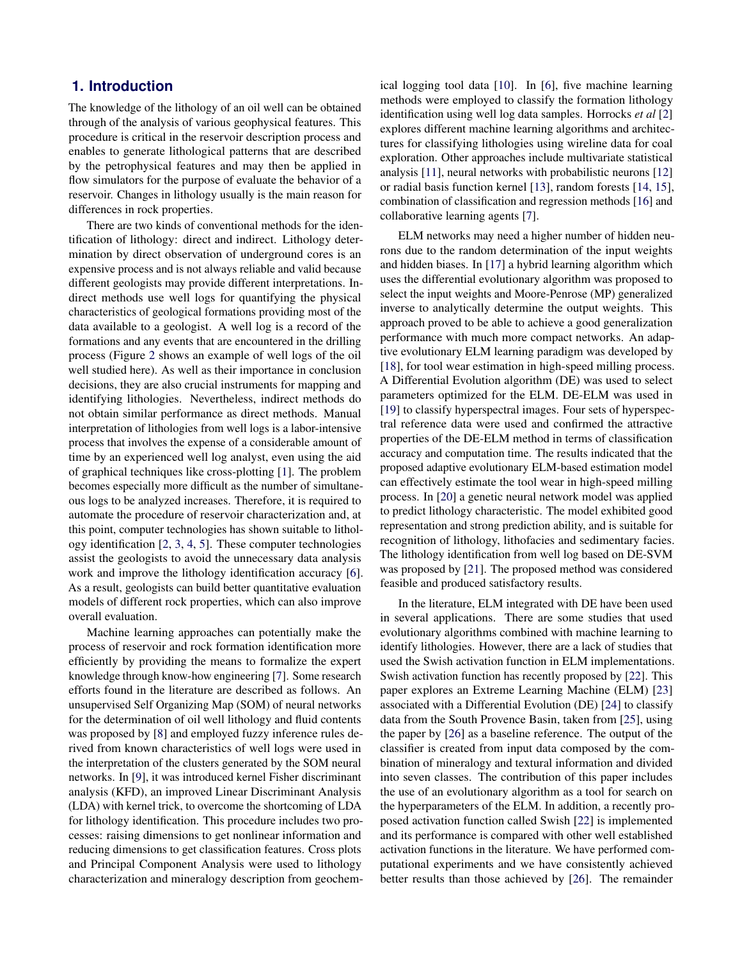## **1. Introduction**

The knowledge of the lithology of an oil well can be obtained through of the analysis of various geophysical features. This procedure is critical in the reservoir description process and enables to generate lithological patterns that are described by the petrophysical features and may then be applied in flow simulators for the purpose of evaluate the behavior of a reservoir. Changes in lithology usually is the main reason for differences in rock properties.

There are two kinds of conventional methods for the identification of lithology: direct and indirect. Lithology determination by direct observation of underground cores is an expensive process and is not always reliable and valid because different geologists may provide different interpretations. Indirect methods use well logs for quantifying the physical characteristics of geological formations providing most of the data available to a geologist. A well log is a record of the formations and any events that are encountered in the drilling process (Figure [2](#page-3-0) shows an example of well logs of the oil well studied here). As well as their importance in conclusion decisions, they are also crucial instruments for mapping and identifying lithologies. Nevertheless, indirect methods do not obtain similar performance as direct methods. Manual interpretation of lithologies from well logs is a labor-intensive process that involves the expense of a considerable amount of time by an experienced well log analyst, even using the aid of graphical techniques like cross-plotting [\[1\]](#page-10-0). The problem becomes especially more difficult as the number of simultaneous logs to be analyzed increases. Therefore, it is required to automate the procedure of reservoir characterization and, at this point, computer technologies has shown suitable to lithology identification [\[2,](#page-10-1) [3,](#page-10-2) [4,](#page-10-3) [5\]](#page-10-4). These computer technologies assist the geologists to avoid the unnecessary data analysis work and improve the lithology identification accuracy [\[6\]](#page-10-5). As a result, geologists can build better quantitative evaluation models of different rock properties, which can also improve overall evaluation.

Machine learning approaches can potentially make the process of reservoir and rock formation identification more efficiently by providing the means to formalize the expert knowledge through know-how engineering [\[7\]](#page-10-6). Some research efforts found in the literature are described as follows. An unsupervised Self Organizing Map (SOM) of neural networks for the determination of oil well lithology and fluid contents was proposed by [\[8\]](#page-10-7) and employed fuzzy inference rules derived from known characteristics of well logs were used in the interpretation of the clusters generated by the SOM neural networks. In [\[9\]](#page-10-8), it was introduced kernel Fisher discriminant analysis (KFD), an improved Linear Discriminant Analysis (LDA) with kernel trick, to overcome the shortcoming of LDA for lithology identification. This procedure includes two processes: raising dimensions to get nonlinear information and reducing dimensions to get classification features. Cross plots and Principal Component Analysis were used to lithology characterization and mineralogy description from geochemical logging tool data [\[10\]](#page-10-9). In [\[6\]](#page-10-5), five machine learning methods were employed to classify the formation lithology identification using well log data samples. Horrocks *et al* [\[2\]](#page-10-1) explores different machine learning algorithms and architectures for classifying lithologies using wireline data for coal exploration. Other approaches include multivariate statistical analysis [\[11\]](#page-10-10), neural networks with probabilistic neurons [\[12\]](#page-10-11) or radial basis function kernel [\[13\]](#page-10-12), random forests [\[14,](#page-10-13) [15\]](#page-11-0), combination of classification and regression methods [\[16\]](#page-11-1) and collaborative learning agents [\[7\]](#page-10-6).

ELM networks may need a higher number of hidden neurons due to the random determination of the input weights and hidden biases. In [\[17\]](#page-11-2) a hybrid learning algorithm which uses the differential evolutionary algorithm was proposed to select the input weights and Moore-Penrose (MP) generalized inverse to analytically determine the output weights. This approach proved to be able to achieve a good generalization performance with much more compact networks. An adaptive evolutionary ELM learning paradigm was developed by [\[18\]](#page-11-3), for tool wear estimation in high-speed milling process. A Differential Evolution algorithm (DE) was used to select parameters optimized for the ELM. DE-ELM was used in [\[19\]](#page-11-4) to classify hyperspectral images. Four sets of hyperspectral reference data were used and confirmed the attractive properties of the DE-ELM method in terms of classification accuracy and computation time. The results indicated that the proposed adaptive evolutionary ELM-based estimation model can effectively estimate the tool wear in high-speed milling process. In [\[20\]](#page-11-5) a genetic neural network model was applied to predict lithology characteristic. The model exhibited good representation and strong prediction ability, and is suitable for recognition of lithology, lithofacies and sedimentary facies. The lithology identification from well log based on DE-SVM was proposed by [\[21\]](#page-11-6). The proposed method was considered feasible and produced satisfactory results.

In the literature, ELM integrated with DE have been used in several applications. There are some studies that used evolutionary algorithms combined with machine learning to identify lithologies. However, there are a lack of studies that used the Swish activation function in ELM implementations. Swish activation function has recently proposed by [\[22\]](#page-11-7). This paper explores an Extreme Learning Machine (ELM) [\[23\]](#page-11-8) associated with a Differential Evolution (DE) [\[24\]](#page-11-9) to classify data from the South Provence Basin, taken from [\[25\]](#page-11-10), using the paper by [\[26\]](#page-11-11) as a baseline reference. The output of the classifier is created from input data composed by the combination of mineralogy and textural information and divided into seven classes. The contribution of this paper includes the use of an evolutionary algorithm as a tool for search on the hyperparameters of the ELM. In addition, a recently proposed activation function called Swish [\[22\]](#page-11-7) is implemented and its performance is compared with other well established activation functions in the literature. We have performed computational experiments and we have consistently achieved better results than those achieved by [\[26\]](#page-11-11). The remainder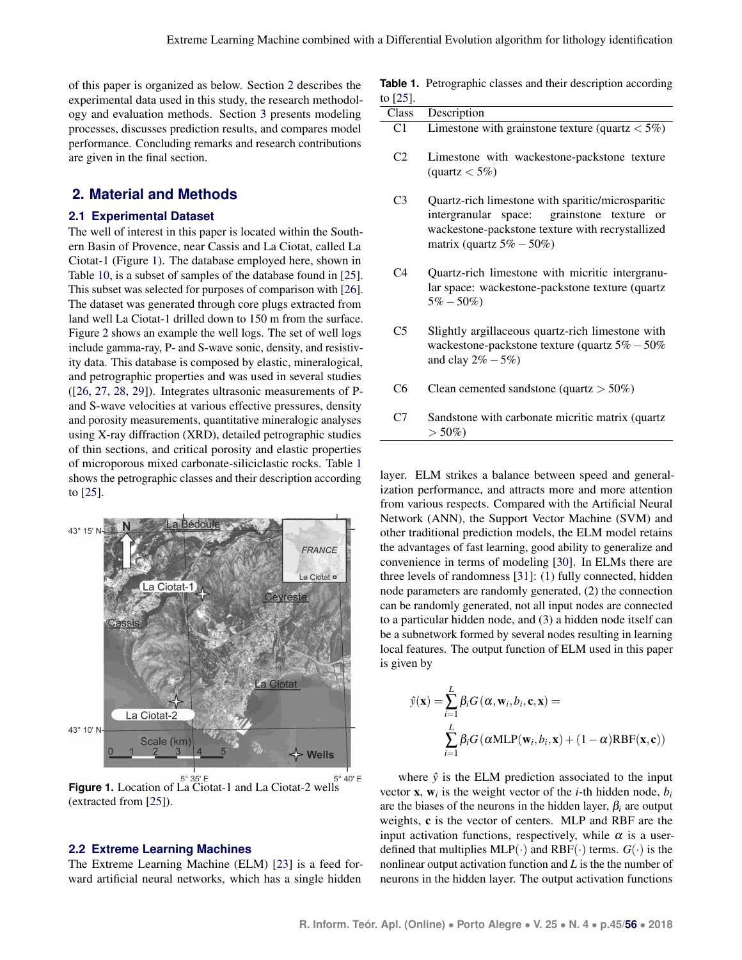of this paper is organized as below. Section [2](#page-2-0) describes the experimental data used in this study, the research methodology and evaluation methods. Section [3](#page-5-0) presents modeling processes, discusses prediction results, and compares model performance. Concluding remarks and research contributions are given in the final section.

## <span id="page-2-0"></span>**2. Material and Methods**

#### **2.1 Experimental Dataset**

The well of interest in this paper is located within the Southern Basin of Provence, near Cassis and La Ciotat, called La Ciotat-1 (Figure [1\)](#page-2-1). The database employed here, shown in Table [10,](#page-13-0) is a subset of samples of the database found in [\[25\]](#page-11-10). This subset was selected for purposes of comparison with [\[26\]](#page-11-11). The dataset was generated through core plugs extracted from land well La Ciotat-1 drilled down to 150 m from the surface. Figure [2](#page-3-0) shows an example the well logs. The set of well logs include gamma-ray, P- and S-wave sonic, density, and resistivity data. This database is composed by elastic, mineralogical, and petrographic properties and was used in several studies ([\[26,](#page-11-11) [27,](#page-11-12) [28,](#page-11-13) [29\]](#page-11-14)). Integrates ultrasonic measurements of Pand S-wave velocities at various effective pressures, density and porosity measurements, quantitative mineralogic analyses using X-ray diffraction (XRD), detailed petrographic studies of thin sections, and critical porosity and elastic properties of microporous mixed carbonate-siliciclastic rocks. Table [1](#page-2-2) shows the petrographic classes and their description according to [\[25\]](#page-11-10).

<span id="page-2-1"></span>

**Figure 1.** Location of La Ciotat-1 and La Ciotat-2 wells (extracted from [\[25\]](#page-11-10)).

#### **2.2 Extreme Learning Machines**

The Extreme Learning Machine (ELM) [\[23\]](#page-11-8) is a feed forward artificial neural networks, which has a single hidden

<span id="page-2-2"></span>

|          | <b>Table 1.</b> Petrographic classes and their description according |  |  |  |
|----------|----------------------------------------------------------------------|--|--|--|
| to [25]. |                                                                      |  |  |  |

| 101231.        |                                                                                                                                                                                                    |
|----------------|----------------------------------------------------------------------------------------------------------------------------------------------------------------------------------------------------|
| Class          | Description                                                                                                                                                                                        |
| C <sub>1</sub> | Limestone with grainstone texture (quartz $<$ 5%)                                                                                                                                                  |
| C2             | Limestone with wackestone-packstone texture<br>$\text{(quartz} < 5\%)$                                                                                                                             |
| C <sub>3</sub> | Quartz-rich limestone with sparitic/microsparitic<br>intergranular space: grainstone texture<br><sub>or</sub><br>wackestone-packstone texture with recrystallized<br>matrix (quartz $5\% - 50\%$ ) |
| C4             | Quartz-rich limestone with micritic intergranu-<br>lar space: wackestone-packstone texture (quartz)<br>$5\% - 50\%$                                                                                |

- C5 Slightly argillaceous quartz-rich limestone with wackestone-packstone texture (quartz 5%−50% and clay  $2\% - 5\%$ )
- C6 Clean cemented sandstone (quartz  $> 50\%$ )
- C7 Sandstone with carbonate micritic matrix (quartz  $> 50\%)$

layer. ELM strikes a balance between speed and generalization performance, and attracts more and more attention from various respects. Compared with the Artificial Neural Network (ANN), the Support Vector Machine (SVM) and other traditional prediction models, the ELM model retains the advantages of fast learning, good ability to generalize and convenience in terms of modeling [\[30\]](#page-11-15). In ELMs there are three levels of randomness [\[31\]](#page-11-16): (1) fully connected, hidden node parameters are randomly generated, (2) the connection can be randomly generated, not all input nodes are connected to a particular hidden node, and (3) a hidden node itself can be a subnetwork formed by several nodes resulting in learning local features. The output function of ELM used in this paper is given by

$$
\hat{y}(\mathbf{x}) = \sum_{i=1}^{L} \beta_i G(\alpha, \mathbf{w}_i, b_i, \mathbf{c}, \mathbf{x}) =
$$

$$
\sum_{i=1}^{L} \beta_i G(\alpha MLP(\mathbf{w}_i, b_i, \mathbf{x}) + (1 - \alpha) RBF(\mathbf{x}, \mathbf{c}))
$$

where  $\hat{v}$  is the ELM prediction associated to the input vector **x**,  $\mathbf{w}_i$  is the weight vector of the *i*-th hidden node,  $b_i$ are the biases of the neurons in the hidden layer,  $\beta_i$  are output weights, c is the vector of centers. MLP and RBF are the input activation functions, respectively, while  $\alpha$  is a userdefined that multiplies  $MLP(\cdot)$  and  $RBF(\cdot)$  terms.  $G(\cdot)$  is the nonlinear output activation function and *L* is the the number of neurons in the hidden layer. The output activation functions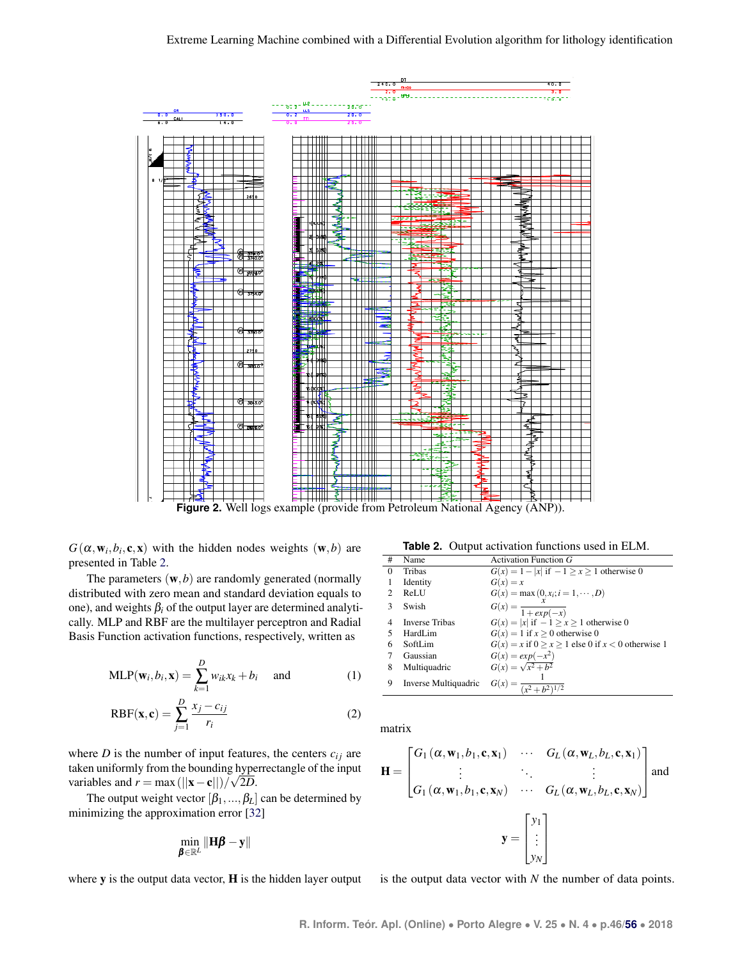<span id="page-3-0"></span>

**Figure 2.** Well logs example (provide from Petroleum National Agency (ANP)).

 $G(\alpha, \mathbf{w}_i, b_i, \mathbf{c}, \mathbf{x})$  with the hidden nodes weights  $(\mathbf{w}, b)$  are presented in Table [2.](#page-3-1)

The parameters  $(w, b)$  are randomly generated (normally distributed with zero mean and standard deviation equals to one), and weights  $\beta_i$  of the output layer are determined analytically. MLP and RBF are the multilayer perceptron and Radial Basis Function activation functions, respectively, written as

$$
MLP(\mathbf{w}_i, b_i, \mathbf{x}) = \sum_{k=1}^{D} w_{ik} x_k + b_i \quad \text{and} \quad (1)
$$

$$
RBF(\mathbf{x}, \mathbf{c}) = \sum_{j=1}^{D} \frac{x_j - c_{ij}}{r_i}
$$
 (2)

where *D* is the number of input features, the centers  $c_{ij}$  are taken uniformly from the bounding hyperrectangle of the input variables and  $r = \max(||\mathbf{x} - \mathbf{c}||)/\sqrt{2D}$ .

The output weight vector  $[\beta_1, ..., \beta_L]$  can be determined by minimizing the approximation error [\[32\]](#page-11-17)

$$
\min_{\pmb{\beta} \in \mathbb{R}^L} \|\mathbf{H}\pmb{\beta} - \mathbf{y}\|
$$

where **y** is the output data vector, **H** is the hidden layer output

**Table 2.** Output activation functions used in ELM.

<span id="page-3-1"></span>

| #                           | Name                  | Activation Function $G$                                     |
|-----------------------------|-----------------------|-------------------------------------------------------------|
| $\Omega$                    | Tribas                | $G(x) = 1 -  x $ if $-1 \ge x \ge 1$ otherwise 0            |
|                             | Identity              | $G(x) = x$                                                  |
| $\mathcal{D}_{\mathcal{L}}$ | ReLU                  | $G(x) = \max(0, x_i; i = 1, \dots, D)$                      |
| 3                           | Swish                 | $G(x) = \frac{x}{1 + exp(-x)}$                              |
| 4                           | <b>Inverse Tribas</b> | $G(x) =  x $ if $-1 \ge x \ge 1$ otherwise 0                |
|                             | HardLim               | $G(x) = 1$ if $x \ge 0$ otherwise 0                         |
| 6                           | SoftLim               | $G(x) = x$ if $0 \ge x \ge 1$ else 0 if $x < 0$ otherwise 1 |
|                             | Gaussian              | $G(x) = exp(-x^2)$                                          |
| 8                           | Multiquadric          | $G(x) = \sqrt{x^2 + b^2}$                                   |
| 9                           | Inverse Multiquadric  | $G(x) = \frac{1}{(x^2 + b^2)^{1/2}}$                        |

matrix

$$
\mathbf{H} = \begin{bmatrix} G_1(\alpha, \mathbf{w}_1, b_1, \mathbf{c}, \mathbf{x}_1) & \cdots & G_L(\alpha, \mathbf{w}_L, b_L, \mathbf{c}, \mathbf{x}_1) \\ \vdots & \ddots & \vdots \\ G_1(\alpha, \mathbf{w}_1, b_1, \mathbf{c}, \mathbf{x}_N) & \cdots & G_L(\alpha, \mathbf{w}_L, b_L, \mathbf{c}, \mathbf{x}_N) \end{bmatrix}
$$
 and  

$$
\mathbf{y} = \begin{bmatrix} y_1 \\ \vdots \\ y_N \end{bmatrix}
$$

is the output data vector with *N* the number of data points.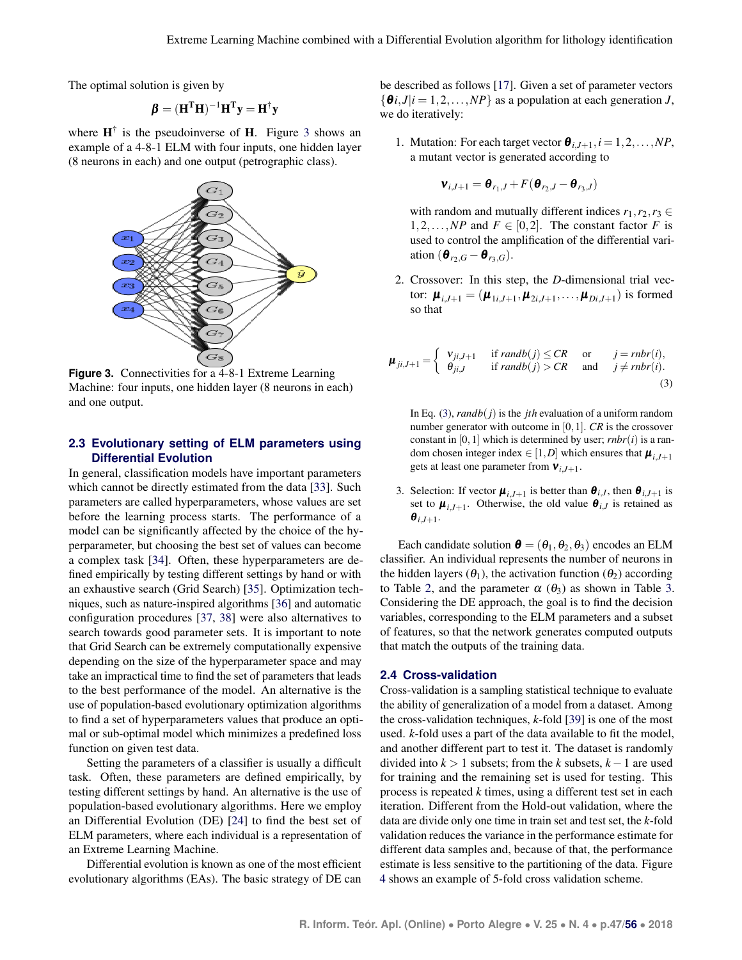The optimal solution is given by

$$
\pmb{\beta} = (\mathbf{H}^T\mathbf{H})^{-1}\mathbf{H}^T\mathbf{y} = \mathbf{H}^\dagger\mathbf{y}
$$

where  $H^{\dagger}$  is the pseudoinverse of H. Figure [3](#page-4-0) shows an example of a 4-8-1 ELM with four inputs, one hidden layer (8 neurons in each) and one output (petrographic class).

<span id="page-4-0"></span>

**Figure 3.** Connectivities for a 4-8-1 Extreme Learning Machine: four inputs, one hidden layer (8 neurons in each) and one output.

#### **2.3 Evolutionary setting of ELM parameters using Differential Evolution**

In general, classification models have important parameters which cannot be directly estimated from the data [\[33\]](#page-11-18). Such parameters are called hyperparameters, whose values are set before the learning process starts. The performance of a model can be significantly affected by the choice of the hyperparameter, but choosing the best set of values can become a complex task [\[34\]](#page-11-19). Often, these hyperparameters are defined empirically by testing different settings by hand or with an exhaustive search (Grid Search) [\[35\]](#page-11-20). Optimization techniques, such as nature-inspired algorithms [\[36\]](#page-11-21) and automatic configuration procedures [\[37,](#page-11-22) [38\]](#page-11-23) were also alternatives to search towards good parameter sets. It is important to note that Grid Search can be extremely computationally expensive depending on the size of the hyperparameter space and may take an impractical time to find the set of parameters that leads to the best performance of the model. An alternative is the use of population-based evolutionary optimization algorithms to find a set of hyperparameters values that produce an optimal or sub-optimal model which minimizes a predefined loss function on given test data.

Setting the parameters of a classifier is usually a difficult task. Often, these parameters are defined empirically, by testing different settings by hand. An alternative is the use of population-based evolutionary algorithms. Here we employ an Differential Evolution (DE) [\[24\]](#page-11-9) to find the best set of ELM parameters, where each individual is a representation of an Extreme Learning Machine.

Differential evolution is known as one of the most efficient evolutionary algorithms (EAs). The basic strategy of DE can

be described as follows [\[17\]](#page-11-2). Given a set of parameter vectors  $\{\theta i, J | i = 1, 2, \dots, NP\}$  as a population at each generation *J*, we do iteratively:

1. Mutation: For each target vector  $\boldsymbol{\theta}_{i,j+1}, i = 1,2,\ldots, NP$ , a mutant vector is generated according to

$$
\mathbf{v}_{i,J+1} = \mathbf{\theta}_{r_1,J} + F(\mathbf{\theta}_{r_2,J} - \mathbf{\theta}_{r_3,J})
$$

with random and mutually different indices  $r_1, r_2, r_3 \in$ 1,2,...,*NP* and  $F \in [0,2]$ . The constant factor *F* is used to control the amplification of the differential variation  $(\boldsymbol{\theta}_{r_2,G}-\boldsymbol{\theta}_{r_3,G}).$ 

2. Crossover: In this step, the *D*-dimensional trial vector:  $\boldsymbol{\mu}_{i,J+1} = (\boldsymbol{\mu}_{1i,J+1}, \boldsymbol{\mu}_{2i,J+1}, \dots, \boldsymbol{\mu}_{Di,J+1})$  is formed so that

<span id="page-4-1"></span>
$$
\boldsymbol{\mu}_{ji,J+1} = \begin{cases} v_{ji,J+1} & \text{if } randb(j) \le CR & \text{or} \qquad j = rnbr(i), \\ \theta_{ji,J} & \text{if } randb(j) > CR & \text{and} \qquad j \ne rnbr(i). \end{cases}
$$
(3)

In Eq. [\(3\)](#page-4-1), *randb*(*j*) is the *jth* evaluation of a uniform random number generator with outcome in [0,1]. *CR* is the crossover constant in  $[0,1]$  which is determined by user; *rnbr* $(i)$  is a random chosen integer index  $\in [1, D]$  which ensures that  $\boldsymbol{\mu}_{i, J+1}$ gets at least one parameter from ν*i*,*J*+1.

3. Selection: If vector  $\boldsymbol{\mu}_{i,J+1}$  is better than  $\boldsymbol{\theta}_{i,J}$ , then  $\boldsymbol{\theta}_{i,J+1}$  is set to  $\boldsymbol{\mu}_{i,J+1}$ . Otherwise, the old value  $\boldsymbol{\theta}_{i,J}$  is retained as  $\boldsymbol{\theta}_{i,J+1}$ .

Each candidate solution  $\boldsymbol{\theta} = (\theta_1, \theta_2, \theta_3)$  encodes an ELM classifier. An individual represents the number of neurons in the hidden layers  $(\theta_1)$ , the activation function  $(\theta_2)$  according to Table [2,](#page-3-1) and the parameter  $\alpha$  ( $\theta_3$ ) as shown in Table [3.](#page-5-1) Considering the DE approach, the goal is to find the decision variables, corresponding to the ELM parameters and a subset of features, so that the network generates computed outputs that match the outputs of the training data.

#### **2.4 Cross-validation**

Cross-validation is a sampling statistical technique to evaluate the ability of generalization of a model from a dataset. Among the cross-validation techniques, *k*-fold [\[39\]](#page-11-24) is one of the most used. *k*-fold uses a part of the data available to fit the model, and another different part to test it. The dataset is randomly divided into *k* > 1 subsets; from the *k* subsets, *k*−1 are used for training and the remaining set is used for testing. This process is repeated *k* times, using a different test set in each iteration. Different from the Hold-out validation, where the data are divide only one time in train set and test set, the *k*-fold validation reduces the variance in the performance estimate for different data samples and, because of that, the performance estimate is less sensitive to the partitioning of the data. Figure [4](#page-5-2) shows an example of 5-fold cross validation scheme.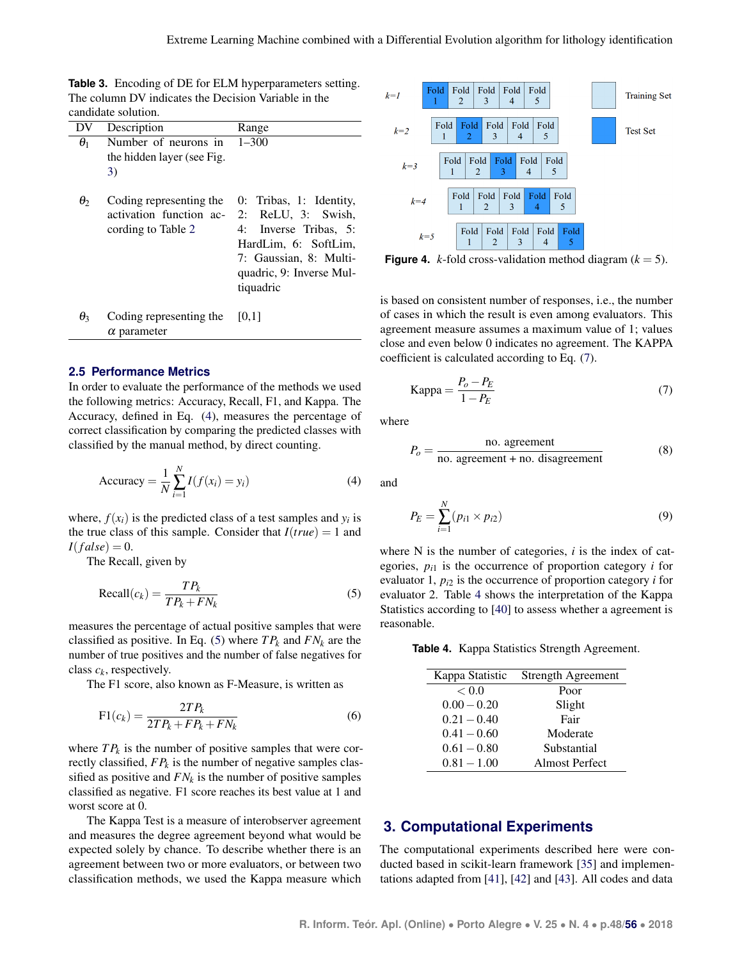<span id="page-5-1"></span>**Table 3.** Encoding of DE for ELM hyperparameters setting. The column DV indicates the Decision Variable in the candidate solution.

|            | canundale sonduon.                                                       |                                                                                                                                                                   |
|------------|--------------------------------------------------------------------------|-------------------------------------------------------------------------------------------------------------------------------------------------------------------|
| DV         | Description                                                              | Range                                                                                                                                                             |
| $\theta_1$ | Number of neurons in<br>the hidden layer (see Fig.<br>3)                 | $1 - 300$                                                                                                                                                         |
| $\theta_2$ | Coding representing the<br>activation function ac-<br>cording to Table 2 | 0: Tribas, 1: Identity,<br>2: ReLU, 3: Swish,<br>4: Inverse Tribas, 5:<br>HardLim, 6: SoftLim,<br>7: Gaussian, 8: Multi-<br>quadric, 9: Inverse Mul-<br>tiquadric |
| $\theta_3$ | Coding representing the                                                  | [0,1]                                                                                                                                                             |

 $\theta_3$  Coding representing the  $\alpha$  parameter

#### **2.5 Performance Metrics**

In order to evaluate the performance of the methods we used the following metrics: Accuracy, Recall, F1, and Kappa. The Accuracy, defined in Eq. [\(4\)](#page-5-3), measures the percentage of correct classification by comparing the predicted classes with classified by the manual method, by direct counting.

$$
Accuracy = \frac{1}{N} \sum_{i=1}^{N} I(f(x_i) = y_i)
$$
\n(4)

where,  $f(x_i)$  is the predicted class of a test samples and  $y_i$  is the true class of this sample. Consider that  $I(true) = 1$  and  $I(false) = 0.$ 

The Recall, given by

<span id="page-5-4"></span>
$$
Recall(c_k) = \frac{TP_k}{TP_k + FN_k}
$$
 (5)

measures the percentage of actual positive samples that were classified as positive. In Eq. [\(5\)](#page-5-4) where  $TP_k$  and  $FN_k$  are the number of true positives and the number of false negatives for class *c<sup>k</sup>* , respectively.

The F1 score, also known as F-Measure, is written as

$$
F1(c_k) = \frac{2TP_k}{2TP_k + FP_k + FN_k} \tag{6}
$$

where  $TP_k$  is the number of positive samples that were correctly classified, *FP<sup>k</sup>* is the number of negative samples classified as positive and  $FN_k$  is the number of positive samples classified as negative. F1 score reaches its best value at 1 and worst score at 0.

The Kappa Test is a measure of interobserver agreement and measures the degree agreement beyond what would be expected solely by chance. To describe whether there is an agreement between two or more evaluators, or between two classification methods, we used the Kappa measure which

<span id="page-5-2"></span>

**Figure 4.** *k*-fold cross-validation method diagram  $(k = 5)$ .

is based on consistent number of responses, i.e., the number of cases in which the result is even among evaluators. This agreement measure assumes a maximum value of 1; values close and even below 0 indicates no agreement. The KAPPA coefficient is calculated according to Eq. [\(7\)](#page-5-5).

<span id="page-5-5"></span>
$$
Kappa = \frac{P_o - P_E}{1 - P_E} \tag{7}
$$

<span id="page-5-3"></span>where

$$
P_o = \frac{\text{no. agreement}}{\text{no. agreement} + \text{no. disagreement}}
$$
 (8)

and

$$
P_E = \sum_{i=1}^{N} (p_{i1} \times p_{i2})
$$
 (9)

where N is the number of categories, *i* is the index of categories,  $p_{i1}$  is the occurrence of proportion category  $i$  for evaluator 1,  $p_{i2}$  is the occurrence of proportion category *i* for evaluator 2. Table [4](#page-5-6) shows the interpretation of the Kappa Statistics according to [\[40\]](#page-11-25) to assess whether a agreement is reasonable.

<span id="page-5-6"></span>**Table 4.** Kappa Statistics Strength Agreement.

| Kappa Statistic | Strength Agreement |
|-----------------|--------------------|
| < 0.0           | Poor               |
| $0.00 - 0.20$   | Slight             |
| $0.21 - 0.40$   | Fair               |
| $0.41 - 0.60$   | Moderate           |
| $0.61 - 0.80$   | Substantial        |
| $0.81 - 1.00$   | Almost Perfect     |

# <span id="page-5-0"></span>**3. Computational Experiments**

The computational experiments described here were conducted based in scikit-learn framework [\[35\]](#page-11-20) and implementations adapted from [\[41\]](#page-11-26), [\[42\]](#page-11-27) and [\[43\]](#page-11-28). All codes and data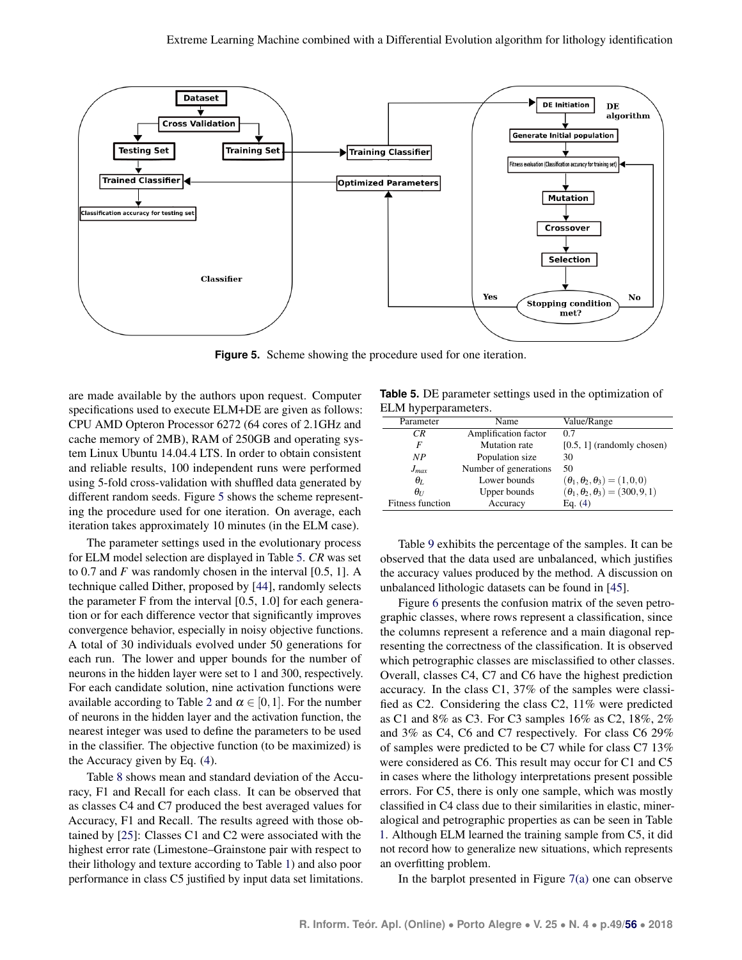<span id="page-6-0"></span>

**Figure 5.** Scheme showing the procedure used for one iteration.

are made available by the authors upon request. Computer specifications used to execute ELM+DE are given as follows: CPU AMD Opteron Processor 6272 (64 cores of 2.1GHz and cache memory of 2MB), RAM of 250GB and operating system Linux Ubuntu 14.04.4 LTS. In order to obtain consistent and reliable results, 100 independent runs were performed using 5-fold cross-validation with shuffled data generated by different random seeds. Figure [5](#page-6-0) shows the scheme representing the procedure used for one iteration. On average, each iteration takes approximately 10 minutes (in the ELM case).

The parameter settings used in the evolutionary process for ELM model selection are displayed in Table [5.](#page-6-1) *CR* was set to 0.7 and *F* was randomly chosen in the interval [0.5, 1]. A technique called Dither, proposed by [\[44\]](#page-12-0), randomly selects the parameter F from the interval [0.5, 1.0] for each generation or for each difference vector that significantly improves convergence behavior, especially in noisy objective functions. A total of 30 individuals evolved under 50 generations for each run. The lower and upper bounds for the number of neurons in the hidden layer were set to 1 and 300, respectively. For each candidate solution, nine activation functions were available according to Table [2](#page-3-1) and  $\alpha \in [0,1]$ . For the number of neurons in the hidden layer and the activation function, the nearest integer was used to define the parameters to be used in the classifier. The objective function (to be maximized) is the Accuracy given by Eq. [\(4\)](#page-5-3).

Table [8](#page-7-0) shows mean and standard deviation of the Accuracy, F1 and Recall for each class. It can be observed that as classes C4 and C7 produced the best averaged values for Accuracy, F1 and Recall. The results agreed with those obtained by [\[25\]](#page-11-10): Classes C1 and C2 were associated with the highest error rate (Limestone–Grainstone pair with respect to their lithology and texture according to Table [1\)](#page-2-2) and also poor performance in class C5 justified by input data set limitations.

<span id="page-6-1"></span>**Table 5.** DE parameter settings used in the optimization of ELM hyperparameters.

| Parameter        | Name                  | Value/Range                                    |
|------------------|-----------------------|------------------------------------------------|
| CR.              | Amplification factor  | 0.7                                            |
| F                | <b>Mutation</b> rate  | $[0.5, 1]$ (randomly chosen)                   |
| NP               | Population size       | 30                                             |
| $J_{max}$        | Number of generations | 50                                             |
| $\theta_L$       | Lower bounds          | $(\theta_1, \theta_2, \theta_3) = (1, 0, 0)$   |
| $\theta_{U}$     | Upper bounds          | $(\theta_1, \theta_2, \theta_3) = (300, 9, 1)$ |
| Fitness function | Accuracy              | Eq. $(4)$                                      |

Table [9](#page-7-1) exhibits the percentage of the samples. It can be observed that the data used are unbalanced, which justifies the accuracy values produced by the method. A discussion on unbalanced lithologic datasets can be found in [\[45\]](#page-12-1).

Figure [6](#page-7-2) presents the confusion matrix of the seven petrographic classes, where rows represent a classification, since the columns represent a reference and a main diagonal representing the correctness of the classification. It is observed which petrographic classes are misclassified to other classes. Overall, classes C4, C7 and C6 have the highest prediction accuracy. In the class C1, 37% of the samples were classified as C2. Considering the class C2, 11% were predicted as C1 and 8% as C3. For C3 samples 16% as C2, 18%, 2% and 3% as C4, C6 and C7 respectively. For class C6 29% of samples were predicted to be C7 while for class C7 13% were considered as C6. This result may occur for C1 and C5 in cases where the lithology interpretations present possible errors. For C5, there is only one sample, which was mostly classified in C4 class due to their similarities in elastic, mineralogical and petrographic properties as can be seen in Table [1.](#page-2-2) Although ELM learned the training sample from C5, it did not record how to generalize new situations, which represents an overfitting problem.

In the barplot presented in Figure  $7(a)$  one can observe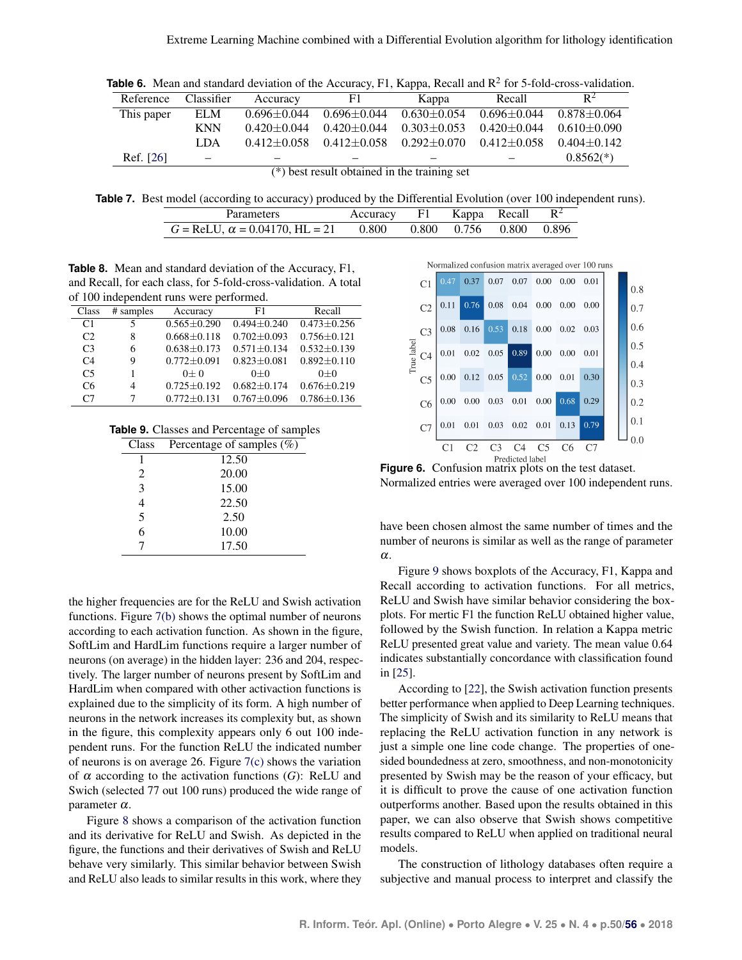**Table 6.** Mean and standard deviation of the Accuracy, F1, Kappa, Recall and  $R^2$  for 5-fold-cross-validation.

| Reference  | Classifier               | Accuracy          | F1.                                            | Kappa                                           | Recall            | $R^2$           |
|------------|--------------------------|-------------------|------------------------------------------------|-------------------------------------------------|-------------------|-----------------|
| This paper | ELM                      | $0.696 \pm 0.044$ | $0.696 \pm 0.044$                              | $0.630 + 0.054$                                 | $0.696 + 0.044$   | $0.878 + 0.064$ |
|            | <b>KNN</b>               | $0.420 + 0.044$   | $0.420 \pm 0.044$                              | $0.303 + 0.053$                                 | $0.420 \pm 0.044$ | $0.610 + 0.090$ |
|            | LDA.                     | $0.412 \pm 0.058$ |                                                | $0.412 + 0.058$ $0.292 + 0.070$ $0.412 + 0.058$ |                   | $0.404 + 0.142$ |
| Ref. [26]  | $\overline{\phantom{0}}$ |                   |                                                | -                                               |                   | $0.8562(*)$     |
|            |                          |                   | $(*)$ best result obtained in the training set |                                                 |                   |                 |

<span id="page-7-3"></span>**Table 7.** Best model (according to accuracy) produced by the Differential Evolution (over 100 independent runs).

| <b>Parameters</b>                                                                  | Accuracy F1 Kappa Recall $R^2$ |  |  |
|------------------------------------------------------------------------------------|--------------------------------|--|--|
| $G = \text{ReLU}, \alpha = 0.04170, \text{ HL} = 21$ 0.800 0.800 0.756 0.800 0.896 |                                |  |  |

<span id="page-7-0"></span>**Table 8.** Mean and standard deviation of the Accuracy, F1, and Recall, for each class, for 5-fold-cross-validation. A total of 100 independent runs were performed.

|                |           | $\sim$ . The person random and personal $\sim$ |                   |                   |
|----------------|-----------|------------------------------------------------|-------------------|-------------------|
| Class          | # samples | Accuracy                                       | F1                | Recall            |
| C <sub>1</sub> | 5         | $0.565 \pm 0.290$                              | $0.494 + 0.240$   | $0.473 + 0.256$   |
| C <sub>2</sub> | 8         | $0.668 \pm 0.118$                              | $0.702 + 0.093$   | $0.756 \pm 0.121$ |
| C <sub>3</sub> | 6         | $0.638 \pm 0.173$                              | $0.571 \pm 0.134$ | $0.532 \pm 0.139$ |
| C <sub>4</sub> | 9         | $0.772 + 0.091$                                | $0.823 + 0.081$   | $0.892 + 0.110$   |
| C <sub>5</sub> |           | $0+0$                                          | $0+0$             | $0+0$             |
| C <sub>6</sub> | 4         | $0.725 \pm 0.192$                              | $0.682 \pm 0.174$ | $0.676 \pm 0.219$ |
| C <sub>7</sub> | 7         | $0.772 \pm 0.131$                              | $0.767 \pm 0.096$ | $0.786 \pm 0.136$ |

<span id="page-7-1"></span>**Table 9.** Classes and Percentage of samples

| Class                       | Percentage of samples $(\%)$ |
|-----------------------------|------------------------------|
|                             | 12.50                        |
| $\mathcal{D}_{\mathcal{L}}$ | 20.00                        |
| 3                           | 15.00                        |
| 4                           | 22.50                        |
| 5                           | 2.50                         |
| 6                           | 10.00                        |
|                             | 17.50                        |

the higher frequencies are for the ReLU and Swish activation functions. Figure [7\(b\)](#page-8-1) shows the optimal number of neurons according to each activation function. As shown in the figure, SoftLim and HardLim functions require a larger number of neurons (on average) in the hidden layer: 236 and 204, respectively. The larger number of neurons present by SoftLim and HardLim when compared with other activaction functions is explained due to the simplicity of its form. A high number of neurons in the network increases its complexity but, as shown in the figure, this complexity appears only 6 out 100 independent runs. For the function ReLU the indicated number of neurons is on average 26. Figure  $7(c)$  shows the variation of  $\alpha$  according to the activation functions (*G*): ReLU and Swich (selected 77 out 100 runs) produced the wide range of parameter  $\alpha$ .

Figure [8](#page-8-3) shows a comparison of the activation function and its derivative for ReLU and Swish. As depicted in the figure, the functions and their derivatives of Swish and ReLU behave very similarly. This similar behavior between Swish and ReLU also leads to similar results in this work, where they

<span id="page-7-2"></span>

**Figure 6.** Confusion matrix plots on the test dataset. Normalized entries were averaged over 100 independent runs.

have been chosen almost the same number of times and the number of neurons is similar as well as the range of parameter α.

Figure [9](#page-9-0) shows boxplots of the Accuracy, F1, Kappa and Recall according to activation functions. For all metrics, ReLU and Swish have similar behavior considering the boxplots. For mertic F1 the function ReLU obtained higher value, followed by the Swish function. In relation a Kappa metric ReLU presented great value and variety. The mean value 0.64 indicates substantially concordance with classification found in [\[25\]](#page-11-10).

According to [\[22\]](#page-11-7), the Swish activation function presents better performance when applied to Deep Learning techniques. The simplicity of Swish and its similarity to ReLU means that replacing the ReLU activation function in any network is just a simple one line code change. The properties of onesided boundedness at zero, smoothness, and non-monotonicity presented by Swish may be the reason of your efficacy, but it is difficult to prove the cause of one activation function outperforms another. Based upon the results obtained in this paper, we can also observe that Swish shows competitive results compared to ReLU when applied on traditional neural models.

The construction of lithology databases often require a subjective and manual process to interpret and classify the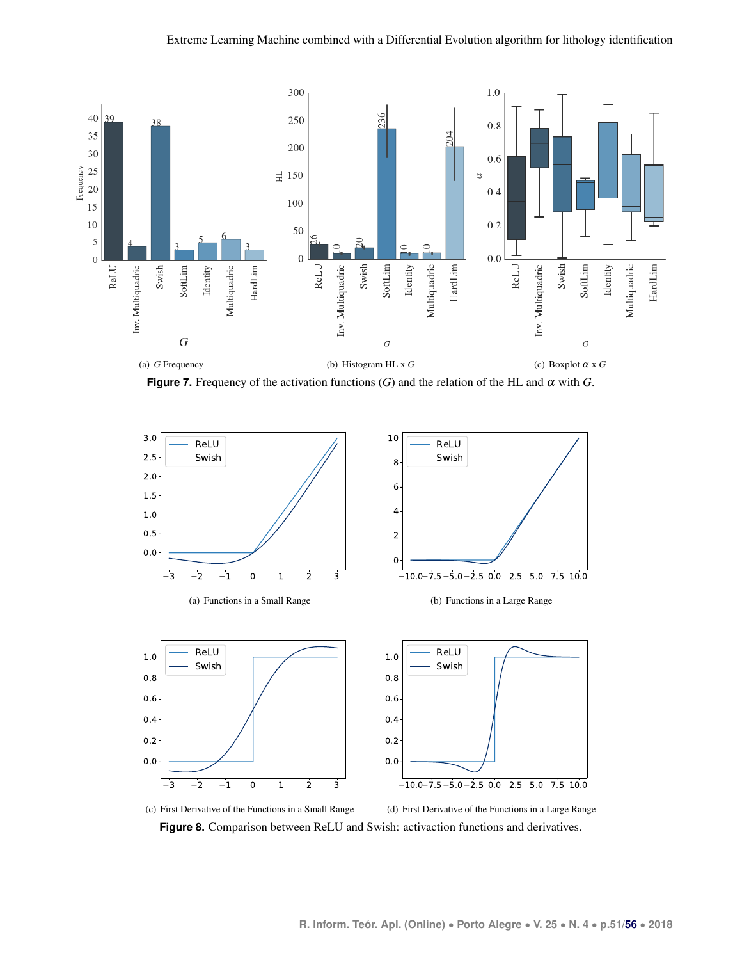<span id="page-8-0"></span>

<span id="page-8-2"></span><span id="page-8-1"></span>**Figure 7.** Frequency of the activation functions  $(G)$  and the relation of the HL and  $\alpha$  with  $G$ .

<span id="page-8-3"></span>

**Figure 8.** Comparison between ReLU and Swish: activaction functions and derivatives.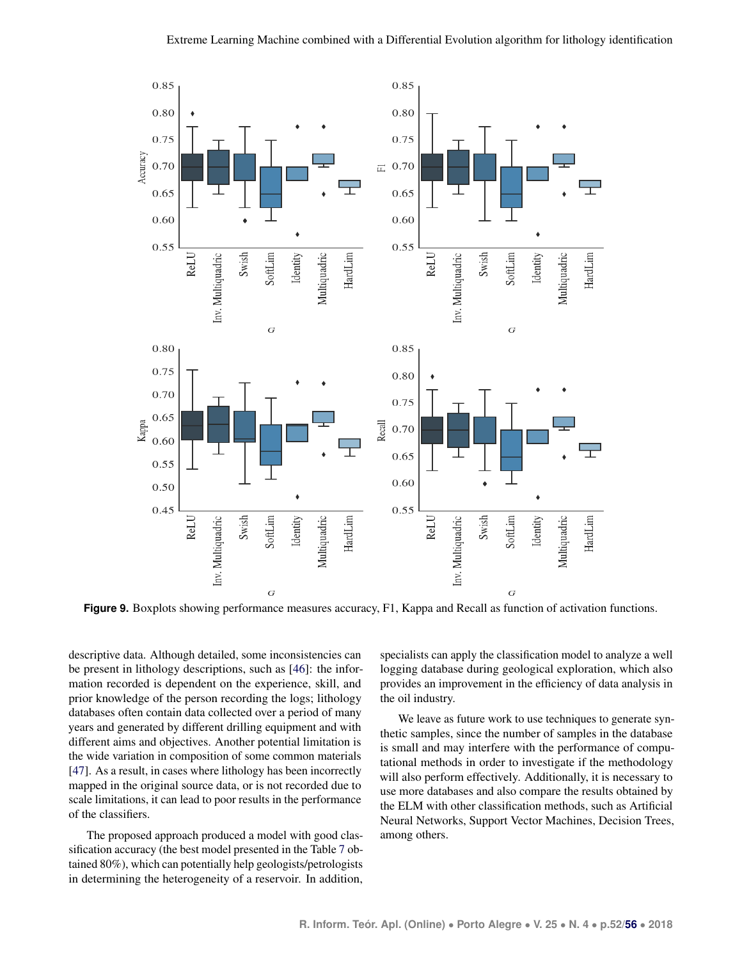<span id="page-9-0"></span>

**Figure 9.** Boxplots showing performance measures accuracy, F1, Kappa and Recall as function of activation functions.

descriptive data. Although detailed, some inconsistencies can be present in lithology descriptions, such as [\[46\]](#page-12-2): the information recorded is dependent on the experience, skill, and prior knowledge of the person recording the logs; lithology databases often contain data collected over a period of many years and generated by different drilling equipment and with different aims and objectives. Another potential limitation is the wide variation in composition of some common materials [\[47\]](#page-12-3). As a result, in cases where lithology has been incorrectly mapped in the original source data, or is not recorded due to scale limitations, it can lead to poor results in the performance of the classifiers.

The proposed approach produced a model with good classification accuracy (the best model presented in the Table [7](#page-7-3) obtained 80%), which can potentially help geologists/petrologists in determining the heterogeneity of a reservoir. In addition,

specialists can apply the classification model to analyze a well logging database during geological exploration, which also provides an improvement in the efficiency of data analysis in the oil industry.

We leave as future work to use techniques to generate synthetic samples, since the number of samples in the database is small and may interfere with the performance of computational methods in order to investigate if the methodology will also perform effectively. Additionally, it is necessary to use more databases and also compare the results obtained by the ELM with other classification methods, such as Artificial Neural Networks, Support Vector Machines, Decision Trees, among others.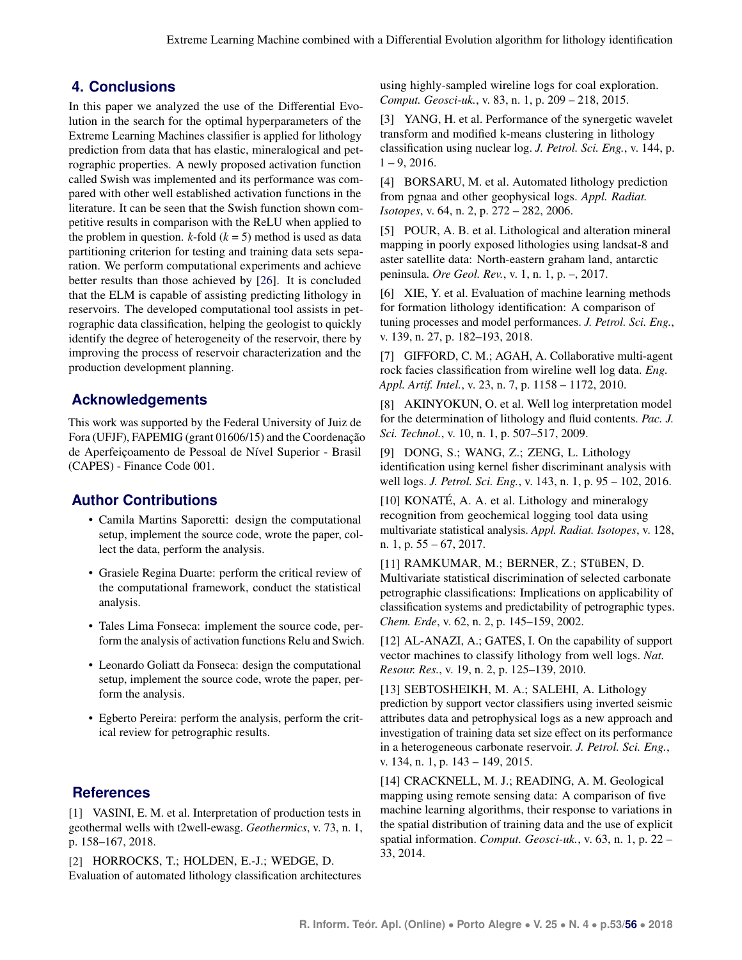# **4. Conclusions**

In this paper we analyzed the use of the Differential Evolution in the search for the optimal hyperparameters of the Extreme Learning Machines classifier is applied for lithology prediction from data that has elastic, mineralogical and petrographic properties. A newly proposed activation function called Swish was implemented and its performance was compared with other well established activation functions in the literature. It can be seen that the Swish function shown competitive results in comparison with the ReLU when applied to the problem in question.  $k$ -fold  $(k = 5)$  method is used as data partitioning criterion for testing and training data sets separation. We perform computational experiments and achieve better results than those achieved by [\[26\]](#page-11-11). It is concluded that the ELM is capable of assisting predicting lithology in reservoirs. The developed computational tool assists in petrographic data classification, helping the geologist to quickly identify the degree of heterogeneity of the reservoir, there by improving the process of reservoir characterization and the production development planning.

# **Acknowledgements**

This work was supported by the Federal University of Juiz de Fora (UFJF), FAPEMIG (grant 01606/15) and the Coordenação de Aperfeiçoamento de Pessoal de Nível Superior - Brasil (CAPES) - Finance Code 001.

## **Author Contributions**

- Camila Martins Saporetti: design the computational setup, implement the source code, wrote the paper, collect the data, perform the analysis.
- Grasiele Regina Duarte: perform the critical review of the computational framework, conduct the statistical analysis.
- Tales Lima Fonseca: implement the source code, perform the analysis of activation functions Relu and Swich.
- Leonardo Goliatt da Fonseca: design the computational setup, implement the source code, wrote the paper, perform the analysis.
- Egberto Pereira: perform the analysis, perform the critical review for petrographic results.

## **References**

<span id="page-10-0"></span>[1] VASINI, E. M. et al. Interpretation of production tests in geothermal wells with t2well-ewasg. *Geothermics*, v. 73, n. 1, p. 158–167, 2018.

<span id="page-10-1"></span>[2] HORROCKS, T.; HOLDEN, E.-J.; WEDGE, D. Evaluation of automated lithology classification architectures using highly-sampled wireline logs for coal exploration. *Comput. Geosci-uk.*, v. 83, n. 1, p. 209 – 218, 2015.

<span id="page-10-2"></span>[3] YANG, H. et al. Performance of the synergetic wavelet transform and modified k-means clustering in lithology classification using nuclear log. *J. Petrol. Sci. Eng.*, v. 144, p.  $1 - 9$ , 2016.

<span id="page-10-3"></span>[4] BORSARU, M. et al. Automated lithology prediction from pgnaa and other geophysical logs. *Appl. Radiat. Isotopes*, v. 64, n. 2, p. 272 – 282, 2006.

<span id="page-10-4"></span>[5] POUR, A. B. et al. Lithological and alteration mineral mapping in poorly exposed lithologies using landsat-8 and aster satellite data: North-eastern graham land, antarctic peninsula. *Ore Geol. Rev.*, v. 1, n. 1, p. –, 2017.

<span id="page-10-5"></span>[6] XIE, Y. et al. Evaluation of machine learning methods for formation lithology identification: A comparison of tuning processes and model performances. *J. Petrol. Sci. Eng.*, v. 139, n. 27, p. 182–193, 2018.

<span id="page-10-6"></span>[7] GIFFORD, C. M.; AGAH, A. Collaborative multi-agent rock facies classification from wireline well log data. *Eng. Appl. Artif. Intel.*, v. 23, n. 7, p. 1158 – 1172, 2010.

<span id="page-10-7"></span>[8] AKINYOKUN, O. et al. Well log interpretation model for the determination of lithology and fluid contents. *Pac. J. Sci. Technol.*, v. 10, n. 1, p. 507–517, 2009.

<span id="page-10-8"></span>[9] DONG, S.; WANG, Z.; ZENG, L. Lithology identification using kernel fisher discriminant analysis with well logs. *J. Petrol. Sci. Eng.*, v. 143, n. 1, p. 95 – 102, 2016.

<span id="page-10-9"></span>[10] KONATÉ, A. A. et al. Lithology and mineralogy recognition from geochemical logging tool data using multivariate statistical analysis. *Appl. Radiat. Isotopes*, v. 128, n. 1, p. 55 – 67, 2017.

<span id="page-10-10"></span>[11] RAMKUMAR, M.; BERNER, Z.; STüBEN, D. Multivariate statistical discrimination of selected carbonate petrographic classifications: Implications on applicability of classification systems and predictability of petrographic types. *Chem. Erde*, v. 62, n. 2, p. 145–159, 2002.

<span id="page-10-11"></span>[12] AL-ANAZI, A.; GATES, I. On the capability of support vector machines to classify lithology from well logs. *Nat. Resour. Res.*, v. 19, n. 2, p. 125–139, 2010.

<span id="page-10-12"></span>[13] SEBTOSHEIKH, M. A.; SALEHI, A. Lithology prediction by support vector classifiers using inverted seismic attributes data and petrophysical logs as a new approach and investigation of training data set size effect on its performance in a heterogeneous carbonate reservoir. *J. Petrol. Sci. Eng.*, v. 134, n. 1, p. 143 – 149, 2015.

<span id="page-10-13"></span>[14] CRACKNELL, M. J.; READING, A. M. Geological mapping using remote sensing data: A comparison of five machine learning algorithms, their response to variations in the spatial distribution of training data and the use of explicit spatial information. *Comput. Geosci-uk.*, v. 63, n. 1, p. 22 – 33, 2014.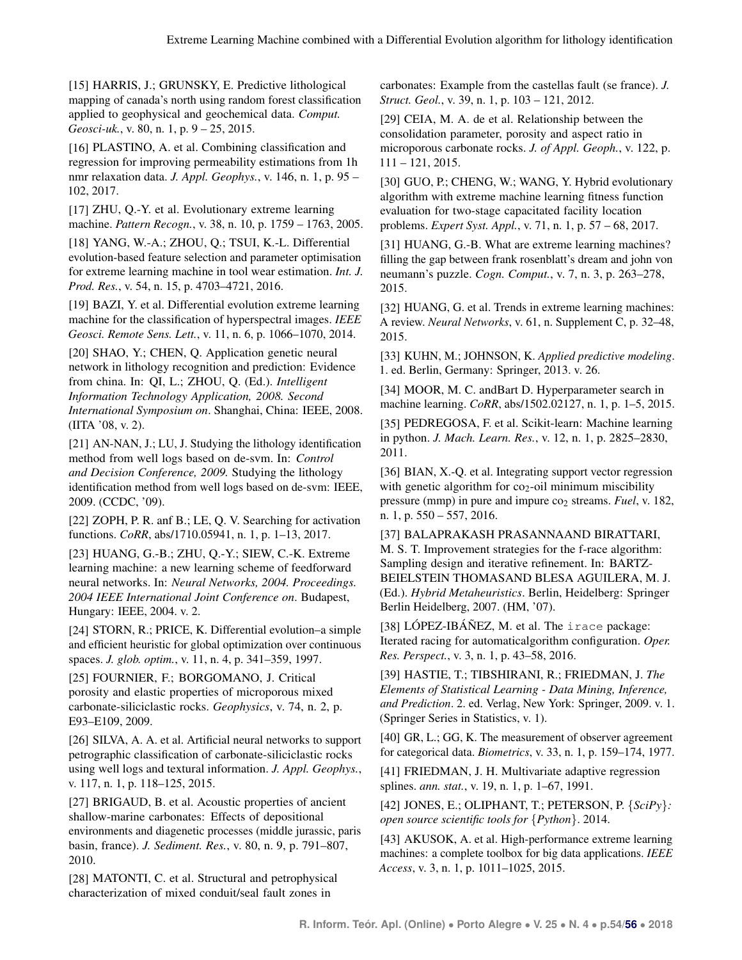<span id="page-11-0"></span>[15] HARRIS, J.; GRUNSKY, E. Predictive lithological mapping of canada's north using random forest classification applied to geophysical and geochemical data. *Comput. Geosci-uk.*, v. 80, n. 1, p. 9 – 25, 2015.

<span id="page-11-1"></span>[16] PLASTINO, A. et al. Combining classification and regression for improving permeability estimations from 1h nmr relaxation data. *J. Appl. Geophys.*, v. 146, n. 1, p. 95 – 102, 2017.

<span id="page-11-2"></span>[17] ZHU, Q.-Y. et al. Evolutionary extreme learning machine. *Pattern Recogn.*, v. 38, n. 10, p. 1759 – 1763, 2005.

<span id="page-11-3"></span>[18] YANG, W.-A.; ZHOU, Q.; TSUI, K.-L. Differential evolution-based feature selection and parameter optimisation for extreme learning machine in tool wear estimation. *Int. J. Prod. Res.*, v. 54, n. 15, p. 4703–4721, 2016.

<span id="page-11-4"></span>[19] BAZI, Y. et al. Differential evolution extreme learning machine for the classification of hyperspectral images. *IEEE Geosci. Remote Sens. Lett.*, v. 11, n. 6, p. 1066–1070, 2014.

<span id="page-11-5"></span>[20] SHAO, Y.; CHEN, Q. Application genetic neural network in lithology recognition and prediction: Evidence from china. In: QI, L.; ZHOU, Q. (Ed.). *Intelligent Information Technology Application, 2008. Second International Symposium on*. Shanghai, China: IEEE, 2008. (IITA '08, v. 2).

<span id="page-11-6"></span>[21] AN-NAN, J.; LU, J. Studying the lithology identification method from well logs based on de-svm. In: *Control and Decision Conference, 2009.* Studying the lithology identification method from well logs based on de-svm: IEEE, 2009. (CCDC, '09).

<span id="page-11-7"></span>[22] ZOPH, P. R. anf B.; LE, Q. V. Searching for activation functions. *CoRR*, abs/1710.05941, n. 1, p. 1–13, 2017.

<span id="page-11-8"></span>[23] HUANG, G.-B.; ZHU, Q.-Y.; SIEW, C.-K. Extreme learning machine: a new learning scheme of feedforward neural networks. In: *Neural Networks, 2004. Proceedings. 2004 IEEE International Joint Conference on*. Budapest, Hungary: IEEE, 2004. v. 2.

<span id="page-11-9"></span>[24] STORN, R.; PRICE, K. Differential evolution–a simple and efficient heuristic for global optimization over continuous spaces. *J. glob. optim.*, v. 11, n. 4, p. 341–359, 1997.

<span id="page-11-10"></span>[25] FOURNIER, F.; BORGOMANO, J. Critical porosity and elastic properties of microporous mixed carbonate-siliciclastic rocks. *Geophysics*, v. 74, n. 2, p. E93–E109, 2009.

<span id="page-11-11"></span>[26] SILVA, A. A. et al. Artificial neural networks to support petrographic classification of carbonate-siliciclastic rocks using well logs and textural information. *J. Appl. Geophys.*, v. 117, n. 1, p. 118–125, 2015.

<span id="page-11-12"></span>[27] BRIGAUD, B. et al. Acoustic properties of ancient shallow-marine carbonates: Effects of depositional environments and diagenetic processes (middle jurassic, paris basin, france). *J. Sediment. Res.*, v. 80, n. 9, p. 791–807, 2010.

<span id="page-11-13"></span>[28] MATONTI, C. et al. Structural and petrophysical characterization of mixed conduit/seal fault zones in

carbonates: Example from the castellas fault (se france). *J. Struct. Geol.*, v. 39, n. 1, p. 103 – 121, 2012.

<span id="page-11-14"></span>[29] CEIA, M. A. de et al. Relationship between the consolidation parameter, porosity and aspect ratio in microporous carbonate rocks. *J. of Appl. Geoph.*, v. 122, p. 111 – 121, 2015.

<span id="page-11-15"></span>[30] GUO, P.; CHENG, W.; WANG, Y. Hybrid evolutionary algorithm with extreme machine learning fitness function evaluation for two-stage capacitated facility location problems. *Expert Syst. Appl.*, v. 71, n. 1, p. 57 – 68, 2017.

<span id="page-11-16"></span>[31] HUANG, G.-B. What are extreme learning machines? filling the gap between frank rosenblatt's dream and john von neumann's puzzle. *Cogn. Comput.*, v. 7, n. 3, p. 263–278, 2015.

<span id="page-11-17"></span>[32] HUANG, G. et al. Trends in extreme learning machines: A review. *Neural Networks*, v. 61, n. Supplement C, p. 32–48, 2015.

<span id="page-11-18"></span>[33] KUHN, M.; JOHNSON, K. *Applied predictive modeling*. 1. ed. Berlin, Germany: Springer, 2013. v. 26.

<span id="page-11-19"></span>[34] MOOR, M. C. andBart D. Hyperparameter search in machine learning. *CoRR*, abs/1502.02127, n. 1, p. 1–5, 2015.

<span id="page-11-20"></span>[35] PEDREGOSA, F. et al. Scikit-learn: Machine learning in python. *J. Mach. Learn. Res.*, v. 12, n. 1, p. 2825–2830, 2011.

<span id="page-11-21"></span>[36] BIAN, X.-Q. et al. Integrating support vector regression with genetic algorithm for  $co<sub>2</sub>$ -oil minimum miscibility pressure (mmp) in pure and impure co<sub>2</sub> streams. *Fuel*, v. 182, n. 1, p. 550 – 557, 2016.

<span id="page-11-22"></span>[37] BALAPRAKASH PRASANNAAND BIRATTARI, M. S. T. Improvement strategies for the f-race algorithm: Sampling design and iterative refinement. In: BARTZ-BEIELSTEIN THOMASAND BLESA AGUILERA, M. J. (Ed.). *Hybrid Metaheuristics*. Berlin, Heidelberg: Springer Berlin Heidelberg, 2007. (HM, '07).

<span id="page-11-23"></span>[38]  $L$ ÓPEZ-IBÁÑEZ, M. et al. The irace package: Iterated racing for automaticalgorithm configuration. *Oper. Res. Perspect.*, v. 3, n. 1, p. 43–58, 2016.

<span id="page-11-24"></span>[39] HASTIE, T.; TIBSHIRANI, R.; FRIEDMAN, J. *The Elements of Statistical Learning - Data Mining, Inference, and Prediction*. 2. ed. Verlag, New York: Springer, 2009. v. 1. (Springer Series in Statistics, v. 1).

<span id="page-11-25"></span>[40] GR, L.; GG, K. The measurement of observer agreement for categorical data. *Biometrics*, v. 33, n. 1, p. 159–174, 1977.

<span id="page-11-26"></span>[41] FRIEDMAN, J. H. Multivariate adaptive regression splines. *ann. stat.*, v. 19, n. 1, p. 1–67, 1991.

<span id="page-11-27"></span>[42] JONES, E.; OLIPHANT, T.; PETERSON, P. {*SciPy*}*: open source scientific tools for* {*Python*}. 2014.

<span id="page-11-28"></span>[43] AKUSOK, A. et al. High-performance extreme learning machines: a complete toolbox for big data applications. *IEEE Access*, v. 3, n. 1, p. 1011–1025, 2015.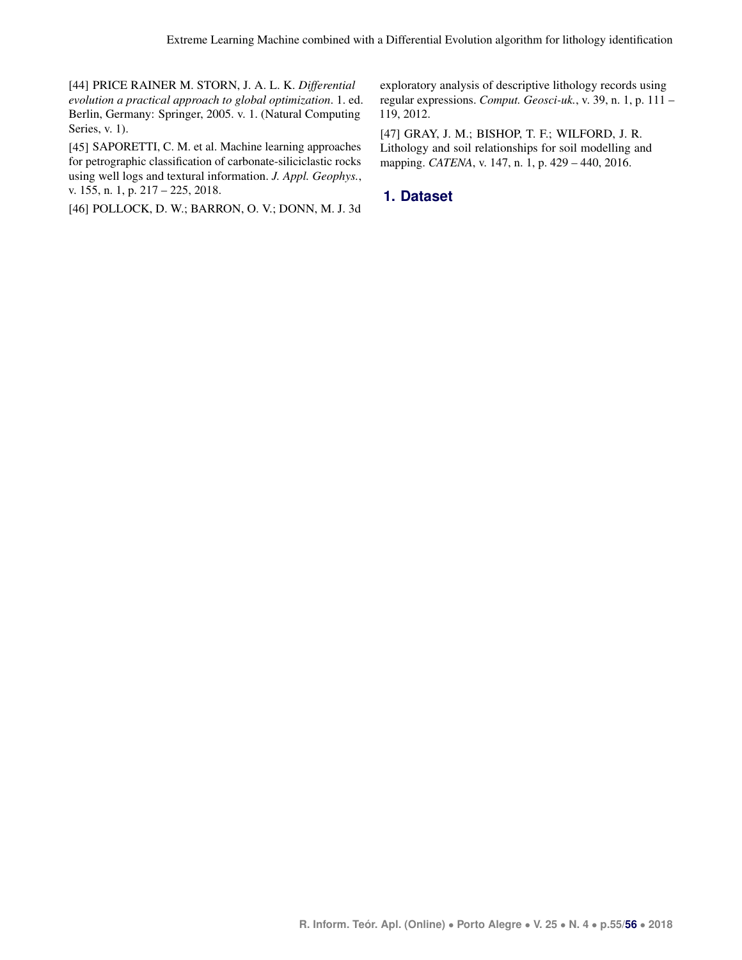<span id="page-12-0"></span>[44] PRICE RAINER M. STORN, J. A. L. K. *Differential evolution a practical approach to global optimization*. 1. ed. Berlin, Germany: Springer, 2005. v. 1. (Natural Computing Series, v. 1).

<span id="page-12-1"></span>[45] SAPORETTI, C. M. et al. Machine learning approaches for petrographic classification of carbonate-siliciclastic rocks using well logs and textural information. *J. Appl. Geophys.*, v. 155, n. 1, p. 217 – 225, 2018.

<span id="page-12-2"></span>[46] POLLOCK, D. W.; BARRON, O. V.; DONN, M. J. 3d

exploratory analysis of descriptive lithology records using regular expressions. *Comput. Geosci-uk.*, v. 39, n. 1, p. 111 – 119, 2012.

<span id="page-12-3"></span>[47] GRAY, J. M.; BISHOP, T. F.; WILFORD, J. R. Lithology and soil relationships for soil modelling and mapping. *CATENA*, v. 147, n. 1, p. 429 – 440, 2016.

## **1. Dataset**